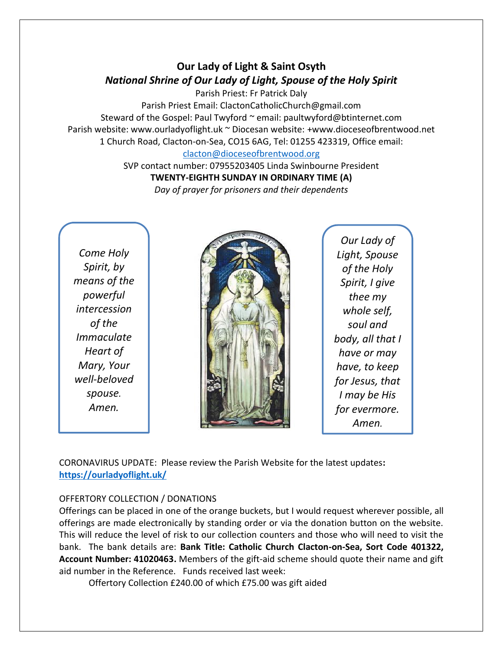## **Our Lady of Light & Saint Osyth** *National Shrine of Our Lady of Light, Spouse of the Holy Spirit*

Parish Priest: Fr Patrick Daly

Parish Priest Email: ClactonCatholicChurch@gmail.com Steward of the Gospel: Paul Twyford ~ email: paultwyford@btinternet.com Parish website: www.ourladyoflight.uk ~ Diocesan website: +www.dioceseofbrentwood.net 1 Church Road, Clacton-on-Sea, CO15 6AG, Tel: 01255 423319, Office email: [clacton@dioceseofbrentwood.org](mailto:clacton@dioceseofbrentwood.org)

> SVP contact number: 07955203405 Linda Swinbourne President **TWENTY-EIGHTH SUNDAY IN ORDINARY TIME (A)**

*Day of prayer for prisoners and their dependents*

*Come Holy Spirit, by means of the powerful intercession of the Immaculate Heart of Mary, Your well-beloved spouse. Amen.*



*Our Lady of Light, Spouse of the Holy Spirit, I give thee my whole self, soul and body, all that I have or may have, to keep for Jesus, that I may be His for evermore. Amen.*

CORONAVIRUS UPDATE: Please review the Parish Website for the latest updates**: <https://ourladyoflight.uk/>**

## OFFERTORY COLLECTION / DONATIONS

Offerings can be placed in one of the orange buckets, but I would request wherever possible, all offerings are made electronically by standing order or via the donation button on the website. This will reduce the level of risk to our collection counters and those who will need to visit the bank. The bank details are: **Bank Title: Catholic Church Clacton-on-Sea, Sort Code 401322, Account Number: 41020463.** Members of the gift-aid scheme should quote their name and gift aid number in the Reference. Funds received last week:

Offertory Collection £240.00 of which £75.00 was gift aided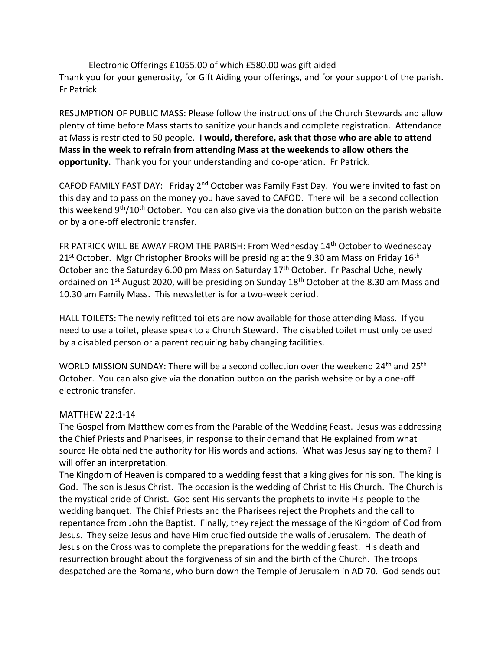Electronic Offerings £1055.00 of which £580.00 was gift aided Thank you for your generosity, for Gift Aiding your offerings, and for your support of the parish. Fr Patrick

RESUMPTION OF PUBLIC MASS: Please follow the instructions of the Church Stewards and allow plenty of time before Mass starts to sanitize your hands and complete registration. Attendance at Mass is restricted to 50 people. **I would, therefore, ask that those who are able to attend Mass in the week to refrain from attending Mass at the weekends to allow others the opportunity.** Thank you for your understanding and co-operation. Fr Patrick.

CAFOD FAMILY FAST DAY: Friday 2nd October was Family Fast Day. You were invited to fast on this day and to pass on the money you have saved to CAFOD. There will be a second collection this weekend 9<sup>th</sup>/10<sup>th</sup> October. You can also give via the donation button on the parish website or by a one-off electronic transfer.

FR PATRICK WILL BE AWAY FROM THE PARISH: From Wednesday 14th October to Wednesday  $21<sup>st</sup>$  October. Mgr Christopher Brooks will be presiding at the 9.30 am Mass on Friday 16<sup>th</sup> October and the Saturday 6.00 pm Mass on Saturday 17<sup>th</sup> October. Fr Paschal Uche, newly ordained on 1<sup>st</sup> August 2020, will be presiding on Sunday 18<sup>th</sup> October at the 8.30 am Mass and 10.30 am Family Mass. This newsletter is for a two-week period.

HALL TOILETS: The newly refitted toilets are now available for those attending Mass. If you need to use a toilet, please speak to a Church Steward. The disabled toilet must only be used by a disabled person or a parent requiring baby changing facilities.

WORLD MISSION SUNDAY: There will be a second collection over the weekend 24<sup>th</sup> and 25<sup>th</sup> October. You can also give via the donation button on the parish website or by a one-off electronic transfer.

## MATTHEW 22:1-14

The Gospel from Matthew comes from the Parable of the Wedding Feast. Jesus was addressing the Chief Priests and Pharisees, in response to their demand that He explained from what source He obtained the authority for His words and actions. What was Jesus saying to them? I will offer an interpretation.

The Kingdom of Heaven is compared to a wedding feast that a king gives for his son. The king is God. The son is Jesus Christ. The occasion is the wedding of Christ to His Church. The Church is the mystical bride of Christ. God sent His servants the prophets to invite His people to the wedding banquet. The Chief Priests and the Pharisees reject the Prophets and the call to repentance from John the Baptist. Finally, they reject the message of the Kingdom of God from Jesus. They seize Jesus and have Him crucified outside the walls of Jerusalem. The death of Jesus on the Cross was to complete the preparations for the wedding feast. His death and resurrection brought about the forgiveness of sin and the birth of the Church. The troops despatched are the Romans, who burn down the Temple of Jerusalem in AD 70. God sends out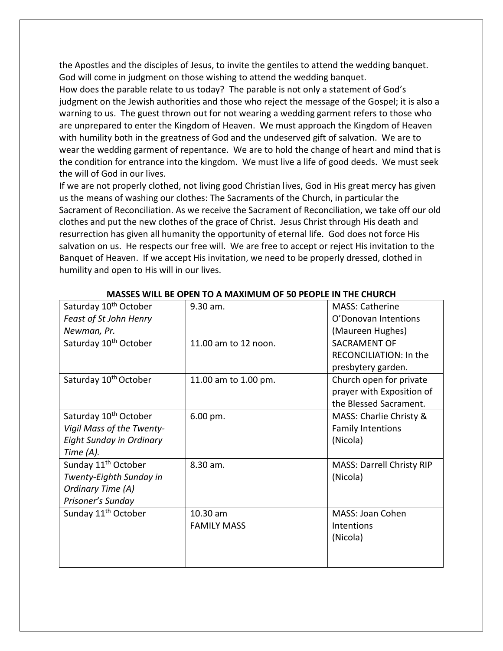the Apostles and the disciples of Jesus, to invite the gentiles to attend the wedding banquet. God will come in judgment on those wishing to attend the wedding banquet.

How does the parable relate to us today? The parable is not only a statement of God's judgment on the Jewish authorities and those who reject the message of the Gospel; it is also a warning to us. The guest thrown out for not wearing a wedding garment refers to those who are unprepared to enter the Kingdom of Heaven. We must approach the Kingdom of Heaven with humility both in the greatness of God and the undeserved gift of salvation. We are to wear the wedding garment of repentance. We are to hold the change of heart and mind that is the condition for entrance into the kingdom. We must live a life of good deeds. We must seek the will of God in our lives.

If we are not properly clothed, not living good Christian lives, God in His great mercy has given us the means of washing our clothes: The Sacraments of the Church, in particular the Sacrament of Reconciliation. As we receive the Sacrament of Reconciliation, we take off our old clothes and put the new clothes of the grace of Christ. Jesus Christ through His death and resurrection has given all humanity the opportunity of eternal life. God does not force His salvation on us. He respects our free will. We are free to accept or reject His invitation to the Banquet of Heaven. If we accept His invitation, we need to be properly dressed, clothed in humility and open to His will in our lives.

| <u>MASSES WILL DE OF LIV TO A MAAINIONI OF SU FLOF LE 11V THE CHUNCH</u> |                       |                                  |  |
|--------------------------------------------------------------------------|-----------------------|----------------------------------|--|
| Saturday 10 <sup>th</sup> October                                        | 9.30 am.              | <b>MASS: Catherine</b>           |  |
| Feast of St John Henry                                                   |                       | O'Donovan Intentions             |  |
| Newman, Pr.                                                              |                       | (Maureen Hughes)                 |  |
| Saturday 10 <sup>th</sup> October                                        | 11.00 am to 12 noon.  | <b>SACRAMENT OF</b>              |  |
|                                                                          |                       | RECONCILIATION: In the           |  |
|                                                                          |                       | presbytery garden.               |  |
| Saturday 10 <sup>th</sup> October                                        | 11.00 am to 1.00 pm.  | Church open for private          |  |
|                                                                          |                       | prayer with Exposition of        |  |
|                                                                          |                       | the Blessed Sacrament.           |  |
| Saturday 10 <sup>th</sup> October                                        | $6.00 \,\mathrm{pm}.$ | MASS: Charlie Christy &          |  |
| Vigil Mass of the Twenty-                                                |                       | <b>Family Intentions</b>         |  |
| <b>Eight Sunday in Ordinary</b>                                          |                       | (Nicola)                         |  |
| Time $(A)$ .                                                             |                       |                                  |  |
| Sunday 11 <sup>th</sup> October                                          | 8.30 am.              | <b>MASS: Darrell Christy RIP</b> |  |
| Twenty-Eighth Sunday in                                                  |                       | (Nicola)                         |  |
| Ordinary Time (A)                                                        |                       |                                  |  |
| Prisoner's Sunday                                                        |                       |                                  |  |
| Sunday 11 <sup>th</sup> October                                          | 10.30 am              | MASS: Joan Cohen                 |  |
|                                                                          | <b>FAMILY MASS</b>    | Intentions                       |  |
|                                                                          |                       | (Nicola)                         |  |
|                                                                          |                       |                                  |  |
|                                                                          |                       |                                  |  |

## **MASSES WILL BE OPEN TO A MAXIMUM OF 50 PEOPLE IN THE CHURCH**